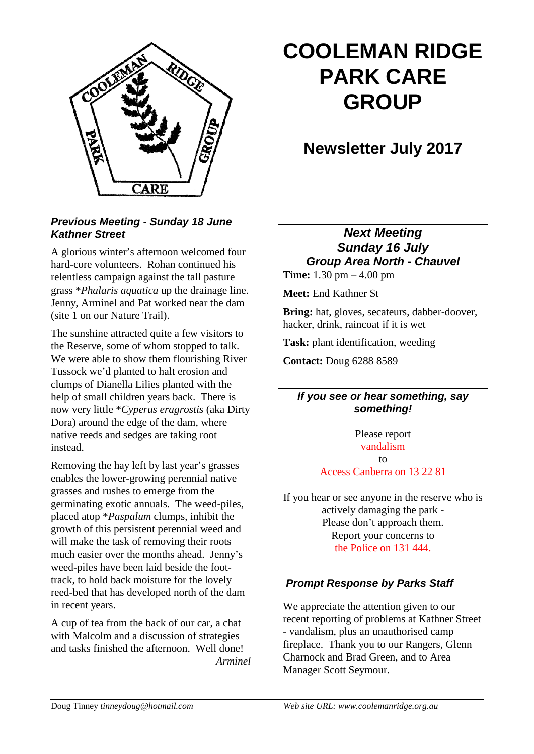

# **COOLEMAN RIDGE PARK CARE GROUP**

# **Newsletter July 2017**

#### *Previous Meeting - Sunday 18 June Kathner Street*

A glorious winter's afternoon welcomed four hard-core volunteers. Rohan continued his relentless campaign against the tall pasture grass \**Phalaris aquatica* up the drainage line. Jenny, Arminel and Pat worked near the dam (site 1 on our Nature Trail).

The sunshine attracted quite a few visitors to the Reserve, some of whom stopped to talk. We were able to show them flourishing River Tussock we'd planted to halt erosion and clumps of Dianella Lilies planted with the help of small children years back. There is now very little \**Cyperus eragrostis* (aka Dirty Dora) around the edge of the dam, where native reeds and sedges are taking root instead.

Removing the hay left by last year's grasses enables the lower-growing perennial native grasses and rushes to emerge from the germinating exotic annuals. The weed-piles, placed atop \**Paspalum* clumps, inhibit the growth of this persistent perennial weed and will make the task of removing their roots much easier over the months ahead. Jenny's weed-piles have been laid beside the foottrack, to hold back moisture for the lovely reed-bed that has developed north of the dam in recent years.

A cup of tea from the back of our car, a chat with Malcolm and a discussion of strategies and tasks finished the afternoon. Well done! *Arminel*

# *Next Meeting Sunday 16 July Group Area North - Chauvel*

**Time:** 1.30 pm – 4.00 pm

**Meet:** End Kathner St

**Bring:** hat, gloves, secateurs, dabber-doover, hacker, drink, raincoat if it is wet

**Task:** plant identification, weeding

**Contact:** Doug 6288 8589

#### *If you see or hear something, say something!*

Please report vandalism  $f \circ$ Access Canberra on 13 22 81

If you hear or see anyone in the reserve who is actively damaging the park - Please don't approach them. Report your concerns to the Police on 131 444.

# *Prompt Response by Parks Staff*

We appreciate the attention given to our recent reporting of problems at Kathner Street - vandalism, plus an unauthorised camp fireplace. Thank you to our Rangers, Glenn Charnock and Brad Green, and to Area Manager Scott Seymour.